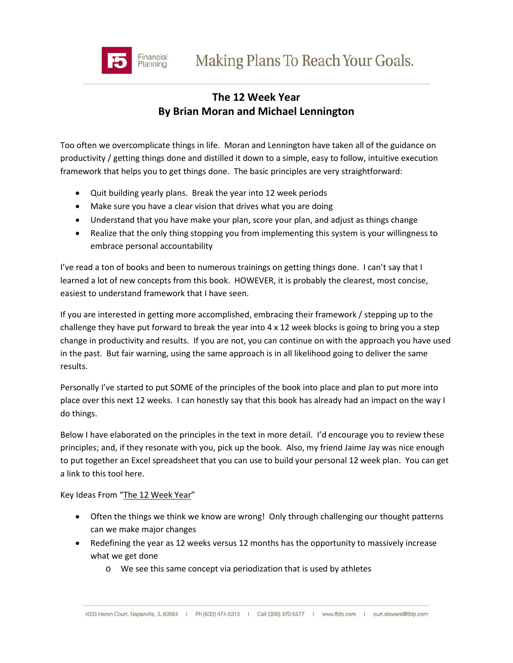

## **The 12 Week Year By Brian Moran and Michael Lennington**

Too often we overcomplicate things in life. Moran and Lennington have taken all of the guidance on productivity / getting things done and distilled it down to a simple, easy to follow, intuitive execution framework that helps you to get things done. The basic principles are very straightforward:

- Quit building yearly plans. Break the year into 12 week periods
- Make sure you have a clear vision that drives what you are doing
- Understand that you have make your plan, score your plan, and adjust as things change
- Realize that the only thing stopping you from implementing this system is your willingness to embrace personal accountability

I've read a ton of books and been to numerous trainings on getting things done. I can't say that I learned a lot of new concepts from this book. HOWEVER, it is probably the clearest, most concise, easiest to understand framework that I have seen.

If you are interested in getting more accomplished, embracing their framework / stepping up to the challenge they have put forward to break the year into  $4 \times 12$  week blocks is going to bring you a step change in productivity and results. If you are not, you can continue on with the approach you have used in the past. But fair warning, using the same approach is in all likelihood going to deliver the same results.

Personally I've started to put SOME of the principles of the book into place and plan to put more into place over this next 12 weeks. I can honestly say that this book has already had an impact on the way I do things.

Below I have elaborated on the principles in the text in more detail. I'd encourage you to review these principles; and, if they resonate with you, pick up the book. Also, my friend Jaime Jay was nice enough to put together an Excel spreadsheet that you can use to build your personal 12 week plan. You can get a link to this tool here.

Key Ideas From "The 12 Week Year"

- Often the things we think we know are wrong! Only through challenging our thought patterns can we make major changes
- Redefining the year as 12 weeks versus 12 months has the opportunity to massively increase what we get done
	- o We see this same concept via periodization that is used by athletes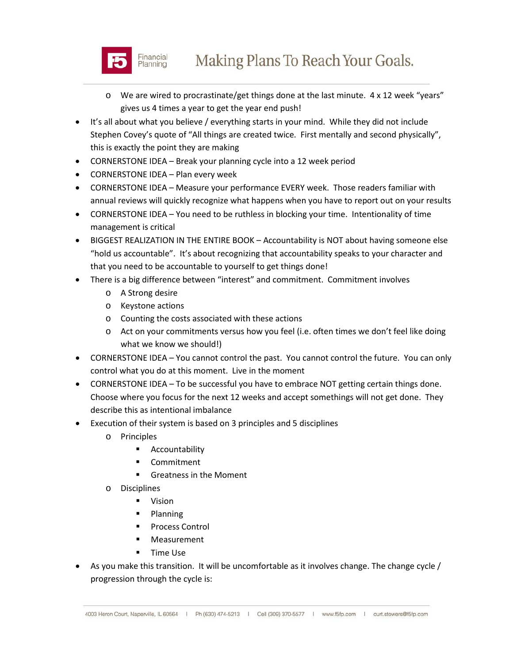

- o We are wired to procrastinate/get things done at the last minute. 4 x 12 week "years" gives us 4 times a year to get the year end push!
- It's all about what you believe / everything starts in your mind. While they did not include Stephen Covey's quote of "All things are created twice. First mentally and second physically", this is exactly the point they are making
- CORNERSTONE IDEA Break your planning cycle into a 12 week period
- CORNERSTONE IDEA Plan every week
- CORNERSTONE IDEA Measure your performance EVERY week. Those readers familiar with annual reviews will quickly recognize what happens when you have to report out on your results
- CORNERSTONE IDEA You need to be ruthless in blocking your time. Intentionality of time management is critical
- BIGGEST REALIZATION IN THE ENTIRE BOOK Accountability is NOT about having someone else "hold us accountable". It's about recognizing that accountability speaks to your character and that you need to be accountable to yourself to get things done!
- There is a big difference between "interest" and commitment. Commitment involves
	- o A Strong desire
	- o Keystone actions
	- o Counting the costs associated with these actions
	- o Act on your commitments versus how you feel (i.e. often times we don't feel like doing what we know we should!)
- CORNERSTONE IDEA You cannot control the past. You cannot control the future. You can only control what you do at this moment. Live in the moment
- CORNERSTONE IDEA To be successful you have to embrace NOT getting certain things done. Choose where you focus for the next 12 weeks and accept somethings will not get done. They describe this as intentional imbalance
- Execution of their system is based on 3 principles and 5 disciplines
	- o Principles
		- **E** Accountability
		- Commitment
		- **Greatness in the Moment**
	- o Disciplines
		- Vision
		- Planning
		- Process Control
		- **Neasurement**
		- **Time Use**
- As you make this transition. It will be uncomfortable as it involves change. The change cycle / progression through the cycle is: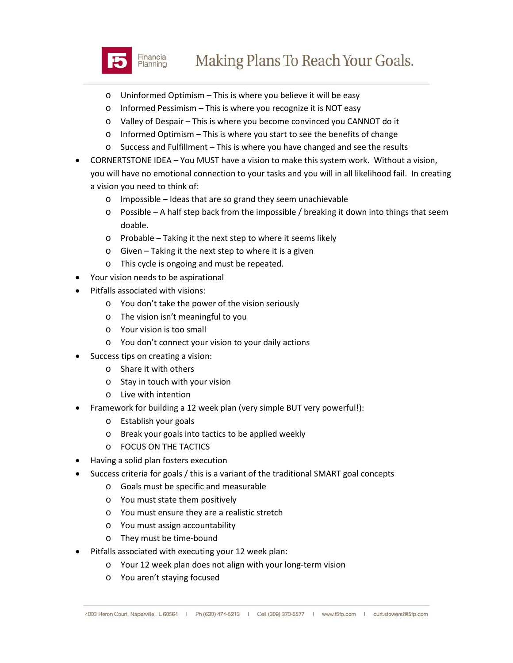

- o Uninformed Optimism This is where you believe it will be easy
- o Informed Pessimism This is where you recognize it is NOT easy
- o Valley of Despair This is where you become convinced you CANNOT do it
- o Informed Optimism This is where you start to see the benefits of change
- o Success and Fulfillment This is where you have changed and see the results
- CORNERTSTONE IDEA You MUST have a vision to make this system work. Without a vision, you will have no emotional connection to your tasks and you will in all likelihood fail. In creating a vision you need to think of:
	- o Impossible Ideas that are so grand they seem unachievable
	- $\circ$  Possible A half step back from the impossible / breaking it down into things that seem doable.
	- o Probable Taking it the next step to where it seems likely
	- o Given Taking it the next step to where it is a given
	- o This cycle is ongoing and must be repeated.
- Your vision needs to be aspirational
- Pitfalls associated with visions:
	- o You don't take the power of the vision seriously
	- o The vision isn't meaningful to you
	- o Your vision is too small
	- o You don't connect your vision to your daily actions
- Success tips on creating a vision:
	- o Share it with others
	- o Stay in touch with your vision
	- o Live with intention
- Framework for building a 12 week plan (very simple BUT very powerful!):
	- o Establish your goals
	- o Break your goals into tactics to be applied weekly
	- o FOCUS ON THE TACTICS
- Having a solid plan fosters execution
- Success criteria for goals / this is a variant of the traditional SMART goal concepts
	- o Goals must be specific and measurable
	- o You must state them positively
	- o You must ensure they are a realistic stretch
	- o You must assign accountability
	- o They must be time-bound
- Pitfalls associated with executing your 12 week plan:
	- o Your 12 week plan does not align with your long-term vision
	- o You aren't staying focused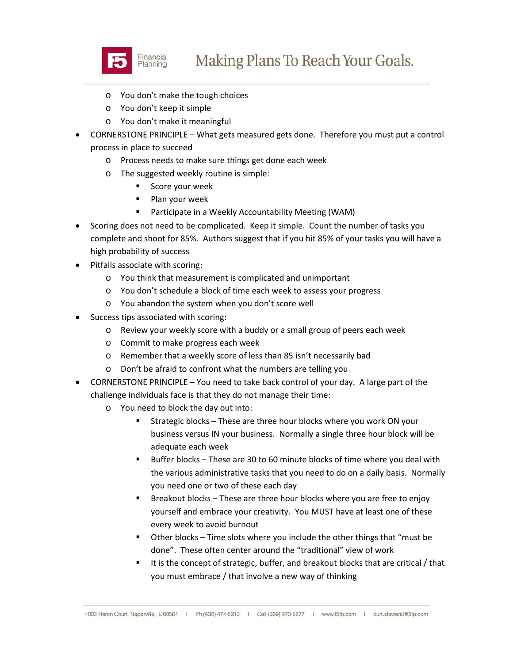

- o You don't make the tough choices
- o You don't keep it simple
- o You don't make it meaningful
- CORNERSTONE PRINCIPLE What gets measured gets done. Therefore you must put a control process in place to succeed
	- o Process needs to make sure things get done each week
	- o The suggested weekly routine is simple:
		- **Score your week**
		- $\blacksquare$  Plan your week
		- Participate in a Weekly Accountability Meeting (WAM)
- Scoring does not need to be complicated. Keep it simple. Count the number of tasks you complete and shoot for 85%. Authors suggest that if you hit 85% of your tasks you will have a high probability of success
- Pitfalls associate with scoring:
	- o You think that measurement is complicated and unimportant
	- o You don't schedule a block of time each week to assess your progress
	- o You abandon the system when you don't score well
- Success tips associated with scoring:
	- o Review your weekly score with a buddy or a small group of peers each week
	- o Commit to make progress each week
	- o Remember that a weekly score of less than 85 isn't necessarily bad
	- o Don't be afraid to confront what the numbers are telling you
- CORNERSTONE PRINCIPLE You need to take back control of your day. A large part of the challenge individuals face is that they do not manage their time:
	- o You need to block the day out into:
		- **EXTERGIER 19 Strategic blocks These are three hour blocks where you work ON your** business versus IN your business. Normally a single three hour block will be adequate each week
		- Buffer blocks These are 30 to 60 minute blocks of time where you deal with the various administrative tasks that you need to do on a daily basis. Normally you need one or two of these each day
		- Breakout blocks These are three hour blocks where you are free to enjoy yourself and embrace your creativity. You MUST have at least one of these every week to avoid burnout
		- Other blocks Time slots where you include the other things that "must be done". These often center around the "traditional" view of work
		- It is the concept of strategic, buffer, and breakout blocks that are critical / that you must embrace / that involve a new way of thinking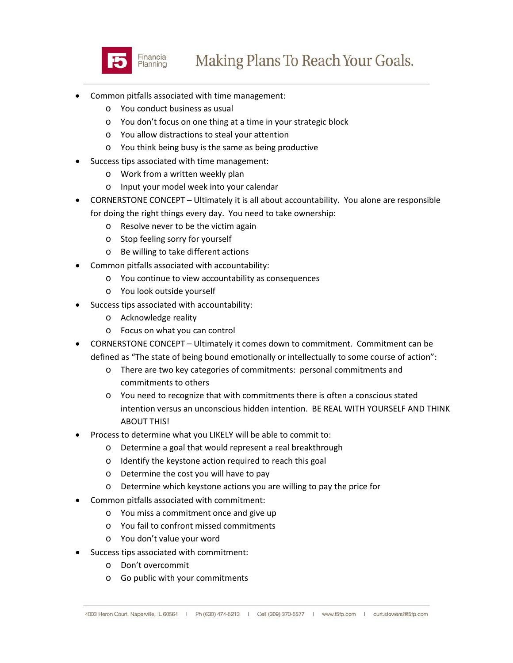

- Common pitfalls associated with time management:
	- o You conduct business as usual
	- o You don't focus on one thing at a time in your strategic block
	- o You allow distractions to steal your attention
	- o You think being busy is the same as being productive
- Success tips associated with time management:
	- o Work from a written weekly plan
	- o Input your model week into your calendar
- CORNERSTONE CONCEPT Ultimately it is all about accountability. You alone are responsible for doing the right things every day. You need to take ownership:
	- o Resolve never to be the victim again
	- o Stop feeling sorry for yourself
	- o Be willing to take different actions
- Common pitfalls associated with accountability:
	- o You continue to view accountability as consequences
	- o You look outside yourself
- Success tips associated with accountability:
	- o Acknowledge reality
	- o Focus on what you can control
- CORNERSTONE CONCEPT Ultimately it comes down to commitment. Commitment can be defined as "The state of being bound emotionally or intellectually to some course of action":
	- o There are two key categories of commitments: personal commitments and commitments to others
	- o You need to recognize that with commitments there is often a conscious stated intention versus an unconscious hidden intention. BE REAL WITH YOURSELF AND THINK ABOUT THIS!
- Process to determine what you LIKELY will be able to commit to:
	- o Determine a goal that would represent a real breakthrough
	- o Identify the keystone action required to reach this goal
	- o Determine the cost you will have to pay
	- o Determine which keystone actions you are willing to pay the price for
- Common pitfalls associated with commitment:
	- o You miss a commitment once and give up
	- o You fail to confront missed commitments
	- o You don't value your word
- Success tips associated with commitment:
	- o Don't overcommit
	- o Go public with your commitments